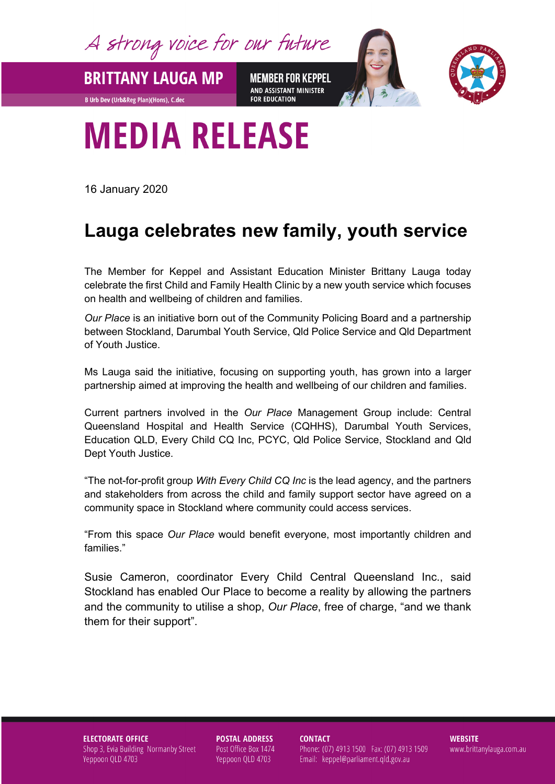A strong voice for our future

**BRITTANY LAUGA MP** 

**B Urb Dev (Urb&Reg Plan)(Hons), C.dec** 

**MEMBER FOR KEPPEL** AND ASSISTANT MINISTER **FOR EDUCATION** 



## **MEDIA RELEASE**

16 January 2020

## **Lauga celebrates new family, youth service**

The Member for Keppel and Assistant Education Minister Brittany Lauga today celebrate the first Child and Family Health Clinic by a new youth service which focuses on health and wellbeing of children and families.

*Our Place* is an initiative born out of the Community Policing Board and a partnership between Stockland, Darumbal Youth Service, Qld Police Service and Qld Department of Youth Justice.

Ms Lauga said the initiative, focusing on supporting youth, has grown into a larger partnership aimed at improving the health and wellbeing of our children and families.

Current partners involved in the *Our Place* Management Group include: Central Queensland Hospital and Health Service (CQHHS), Darumbal Youth Services, Education QLD, Every Child CQ Inc, PCYC, Qld Police Service, Stockland and Qld Dept Youth Justice.

"The not-for-profit group *With Every Child CQ Inc* is the lead agency, and the partners and stakeholders from across the child and family support sector have agreed on a community space in Stockland where community could access services.

"From this space *Our Place* would benefit everyone, most importantly children and families."

Susie Cameron, coordinator Every Child Central Queensland Inc., said Stockland has enabled Our Place to become a reality by allowing the partners and the community to utilise a shop, *Our Place*, free of charge, "and we thank them for their support".

**ELECTORATE OFFICE** Shop 3, Evia Building Normanby Street Yeppoon QLD 4703

**POSTAL ADDRESS** Post Office Box 1474 Yeppoon QLD 4703

**CONTACT** 

Phone: (07) 4913 1500 Fax: (07) 4913 1509 Email: keppel@parliament.qld.gov.au

**WEBSITE** www.brittanylauga.com.au